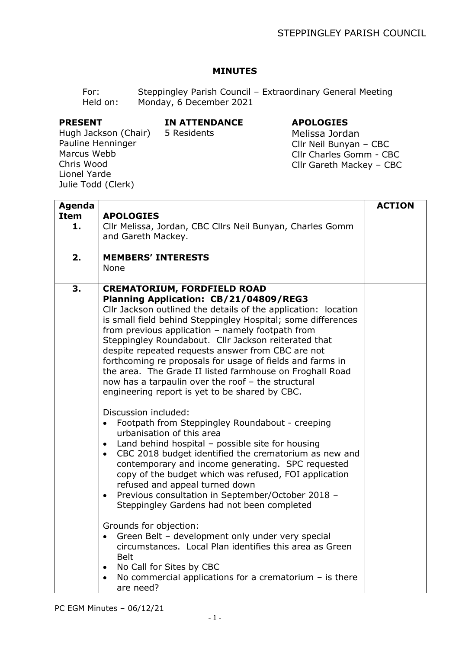### **MINUTES**

For: Steppingley Parish Council – Extraordinary General Meeting Held on: Monday, 6 December 2021

### **PRESENT**

#### **IN ATTENDANCE**

# **APOLOGIES**

Hugh Jackson (Chair) Pauline Henninger Marcus Webb Chris Wood Lionel Yarde Julie Todd (Clerk)

5 Residents

Melissa Jordan Cllr Neil Bunyan – CBC Cllr Charles Gomm - CBC Cllr Gareth Mackey – CBC

| Agenda      |                                                                        | <b>ACTION</b> |
|-------------|------------------------------------------------------------------------|---------------|
| <b>Item</b> | <b>APOLOGIES</b>                                                       |               |
| 1.          | Cllr Melissa, Jordan, CBC Cllrs Neil Bunyan, Charles Gomm              |               |
|             | and Gareth Mackey.                                                     |               |
|             |                                                                        |               |
| 2.          | <b>MEMBERS' INTERESTS</b>                                              |               |
|             | None                                                                   |               |
|             |                                                                        |               |
| 3.          | <b>CREMATORIUM, FORDFIELD ROAD</b>                                     |               |
|             | Planning Application: CB/21/04809/REG3                                 |               |
|             | Cllr Jackson outlined the details of the application: location         |               |
|             | is small field behind Steppingley Hospital; some differences           |               |
|             | from previous application - namely footpath from                       |               |
|             | Steppingley Roundabout. Cllr Jackson reiterated that                   |               |
|             | despite repeated requests answer from CBC are not                      |               |
|             | forthcoming re proposals for usage of fields and farms in              |               |
|             | the area. The Grade II listed farmhouse on Froghall Road               |               |
|             | now has a tarpaulin over the roof - the structural                     |               |
|             | engineering report is yet to be shared by CBC.                         |               |
|             |                                                                        |               |
|             | Discussion included:                                                   |               |
|             | Footpath from Steppingley Roundabout - creeping<br>$\bullet$           |               |
|             | urbanisation of this area                                              |               |
|             | Land behind hospital - possible site for housing<br>$\bullet$          |               |
|             | CBC 2018 budget identified the crematorium as new and<br>$\bullet$     |               |
|             | contemporary and income generating. SPC requested                      |               |
|             | copy of the budget which was refused, FOI application                  |               |
|             | refused and appeal turned down                                         |               |
|             | Previous consultation in September/October 2018 -<br>$\bullet$         |               |
|             | Steppingley Gardens had not been completed                             |               |
|             | Grounds for objection:                                                 |               |
|             | Green Belt - development only under very special                       |               |
|             | circumstances. Local Plan identifies this area as Green                |               |
|             | <b>Belt</b>                                                            |               |
|             | No Call for Sites by CBC<br>$\bullet$                                  |               |
|             | No commercial applications for a crematorium $-$ is there<br>$\bullet$ |               |
|             | are need?                                                              |               |